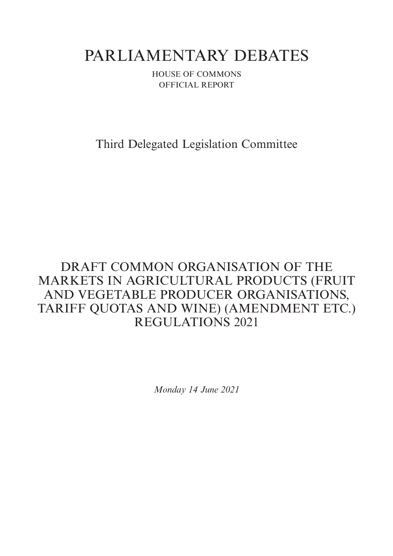# PARLIAMENTARY DEBATES

HOUSE OF COMMONS OFFICIAL REPORT

Third Delegated Legislation Committee

## DRAFT COMMON ORGANISATION OF THE MARKETS IN AGRICULTURAL PRODUCTS (FRUIT AND VEGETABLE PRODUCER ORGANISATIONS, TARIFF QUOTAS AND WINE) (AMENDMENT ETC.) REGULATIONS 2021

*Monday 14 June 2021*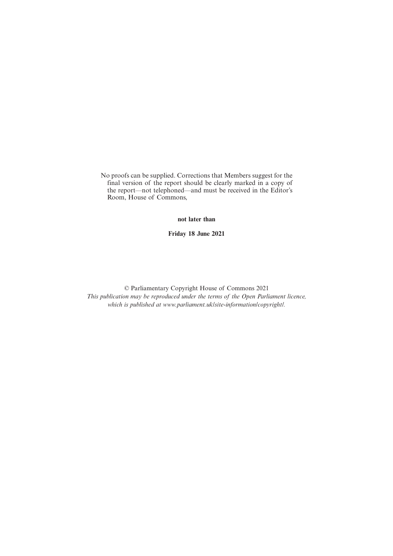No proofs can be supplied. Corrections that Members suggest for the final version of the report should be clearly marked in a copy of the report—not telephoned—and must be received in the Editor's Room, House of Commons,

**not later than**

**Friday 18 June 2021**

© Parliamentary Copyright House of Commons 2021 *This publication may be reproduced under the terms of the Open Parliament licence, which is published at www.parliament.uk/site-information/copyright/.*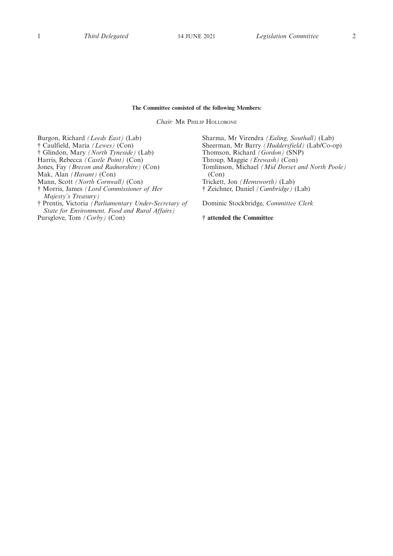### **The Committee consisted of the following Members:**

*Chair:* M<sup>R</sup> PHILIP HOLLOBONE

Burgon, Richard *(Leeds East)* (Lab) † Caulfield, Maria *(Lewes)* (Con) † Glindon, Mary *(North Tyneside)* (Lab) Harris, Rebecca *(Castle Point)* (Con) Jones, Fay *(Brecon and Radnorshire)* (Con) Mak, Alan *(Havant)* (Con) Mann, Scott *(North Cornwall)* (Con) † Morris, James *(Lord Commissioner of Her Majesty's Treasury)* † Prentis, Victoria *(Parliamentary Under-Secretary of State for Environment, Food and Rural Affairs)*

Pursglove, Tom *(Corby)* (Con)

Sharma, Mr Virendra *(Ealing, Southall)* (Lab) Sheerman, Mr Barry *(Huddersfield)* (Lab/Co-op) Thomson, Richard *(Gordon)* (SNP) Throup, Maggie *(Erewash)* (Con) Tomlinson, Michael *(Mid Dorset and North Poole)* (Con) Trickett, Jon *(Hemsworth)* (Lab) † Zeichner, Daniel *(Cambridge)* (Lab)

Dominic Stockbridge, *Committee Clerk*

**† attended the Committee**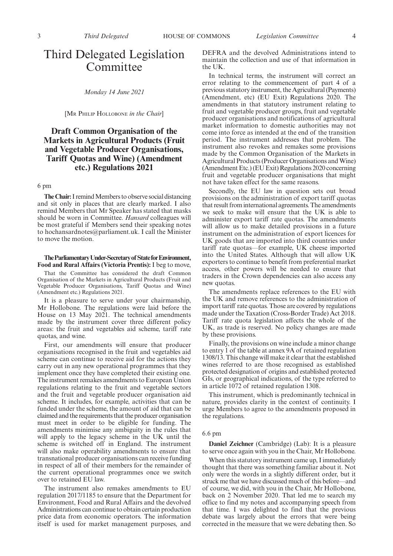## Third Delegated Legislation Committee

*Monday 14 June 2021*

[M<sup>R</sup> PHILIP HOLLOBONE *in the Chair*]

## **Draft Common Organisation of the Markets in Agricultural Products (Fruit and Vegetable Producer Organisations, Tariff Quotas and Wine) (Amendment etc.) Regulations 2021**

## 6 pm

**The Chair:**I remind Members to observe social distancing and sit only in places that are clearly marked. I also remind Members that Mr Speaker has stated that masks should be worn in Committee. *Hansard* colleagues will be most grateful if Members send their speaking notes to hochansardnotes@parliament.uk. I call the Minister to move the motion.

#### **TheParliamentaryUnder-Secretaryof StateforEnvironment, Food and Rural Affairs (Victoria Prentis):** I beg to move,

That the Committee has considered the draft Common Organisation of the Markets in Agricultural Products (Fruit and Vegetable Producer Organisations, Tariff Quotas and Wine) (Amendment etc.) Regulations 2021.

It is a pleasure to serve under your chairmanship, Mr Hollobone. The regulations were laid before the House on 13 May 2021. The technical amendments made by the instrument cover three different policy areas: the fruit and vegetables aid scheme, tariff rate quotas, and wine.

First, our amendments will ensure that producer organisations recognised in the fruit and vegetables aid scheme can continue to receive aid for the actions they carry out in any new operational programmes that they implement once they have completed their existing one. The instrument remakes amendments to European Union regulations relating to the fruit and vegetable sectors and the fruit and vegetable producer organisation aid scheme. It includes, for example, activities that can be funded under the scheme, the amount of aid that can be claimed and the requirements that the producer organisation must meet in order to be eligible for funding. The amendments minimise any ambiguity in the rules that will apply to the legacy scheme in the UK until the scheme is switched off in England. The instrument will also make operability amendments to ensure that transnational producer organisations can receive funding in respect of all of their members for the remainder of the current operational programmes once we switch over to retained EU law.

The instrument also remakes amendments to EU regulation 2017/1185 to ensure that the Department for Environment, Food and Rural Affairs and the devolved Administrations can continue to obtain certain production price data from economic operators. The information itself is used for market management purposes, and DEFRA and the devolved Administrations intend to maintain the collection and use of that information in the UK.

In technical terms, the instrument will correct an error relating to the commencement of part 4 of a previous statutory instrument, the Agricultural (Payments) (Amendment, etc) (EU Exit) Regulations 2020. The amendments in that statutory instrument relating to fruit and vegetable producer groups, fruit and vegetable producer organisations and notifications of agricultural market information to domestic authorities may not come into force as intended at the end of the transition period. The instrument addresses that problem. The instrument also revokes and remakes some provisions made by the Common Organisation of the Markets in Agricultural Products (Producer Organisations and Wine) (Amendment Etc.) (EU Exit) Regulations 2020 concerning fruit and vegetable producer organisations that might not have taken effect for the same reasons.

Secondly, the EU law in question sets out broad provisions on the administration of export tariff quotas that result from international agreements. The amendments we seek to make will ensure that the UK is able to administer export tariff rate quotas. The amendments will allow us to make detailed provisions in a future instrument on the administration of export licences for UK goods that are imported into third countries under tariff rate quotas—for example, UK cheese imported into the United States. Although that will allow UK exporters to continue to benefit from preferential market access, other powers will be needed to ensure that traders in the Crown dependencies can also access any new quotas.

The amendments replace references to the EU with the UK and remove references to the administration of import tariff rate quotas. Those are covered by regulations made under the Taxation (Cross-Border Trade) Act 2018. Tariff rate quota legislation affects the whole of the UK, as trade is reserved. No policy changes are made by these provisions.

Finally, the provisions on wine include a minor change to entry 1 of the table at annex 9A of retained regulation 1308/13. This change will make it clear that the established wines referred to are those recognised as established protected designation of origins and established protected GIs, or geographical indications, of the type referred to in article 1072 of retained regulation 1308.

This instrument, which is predominantly technical in nature, provides clarity in the context of continuity. I urge Members to agree to the amendments proposed in the regulations.

### 6.6 pm

**Daniel Zeichner** (Cambridge) (Lab): It is a pleasure to serve once again with you in the Chair, Mr Hollobone.

When this statutory instrument came up, I immediately thought that there was something familiar about it. Not only were the words in a slightly different order, but it struck me that we have discussed much of this before—and of course, we did, with you in the Chair, Mr Hollobone, back on 2 November 2020. That led me to search my office to find my notes and accompanying speech from that time. I was delighted to find that the previous debate was largely about the errors that were being corrected in the measure that we were debating then. So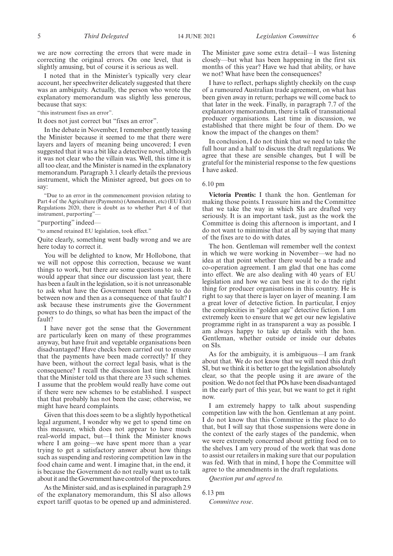we are now correcting the errors that were made in correcting the original errors. On one level, that is slightly amusing, but of course it is serious as well.

I noted that in the Minister's typically very clear account, her speechwriter delicately suggested that there was an ambiguity. Actually, the person who wrote the explanatory memorandum was slightly less generous, because that says:

"this instrument fixes an error".

It does not just correct but "fixes an error".

In the debate in November, I remember gently teasing the Minister because it seemed to me that there were layers and layers of meaning being uncovered; I even suggested that it was a bit like a detective novel, although it was not clear who the villain was. Well, this time it is all too clear, and the Minister is named in the explanatory memorandum. Paragraph 3.1 clearly details the previous instrument, which the Minister agreed, but goes on to say:

"Due to an error in the commencement provision relating to Part 4 of the Agriculture (Payments) (Amendment, etc) (EU Exit) Regulations 2020, there is doubt as to whether Part 4 of that instrument, purporting"—

"purporting" indeed—

"to amend retained EU legislation, took effect."

Quite clearly, something went badly wrong and we are here today to correct it.

You will be delighted to know, Mr Hollobone, that we will not oppose this correction, because we want things to work, but there are some questions to ask. It would appear that since our discussion last year, there has been a fault in the legislation, so it is not unreasonable to ask what have the Government been unable to do between now and then as a consequence of that fault? I ask because these instruments give the Government powers to do things, so what has been the impact of the fault?

I have never got the sense that the Government are particularly keen on many of these programmes anyway, but have fruit and vegetable organisations been disadvantaged? Have checks been carried out to ensure that the payments have been made correctly? If they have been, without the correct legal basis, what is the consequence? I recall the discussion last time. I think that the Minister told us that there are 33 such schemes. I assume that the problem would really have come out if there were new schemes to be established. I suspect that that probably has not been the case; otherwise, we might have heard complaints.

Given that this does seem to be a slightly hypothetical legal argument, I wonder why we get to spend time on this measure, which does not appear to have much real-world impact, but—I think the Minister knows where I am going—we have spent more than a year trying to get a satisfactory answer about how things such as suspending and restoring competition law in the food chain came and went. I imagine that, in the end, it is because the Government do not really want us to talk about it and the Government have control of the procedures.

As the Minister said, and as is explained in paragraph 2.9 of the explanatory memorandum, this SI also allows export tariff quotas to be opened up and administered. The Minister gave some extra detail—I was listening closely—but what has been happening in the first six months of this year? Have we had that ability, or have we not? What have been the consequences?

I have to reflect, perhaps slightly cheekily on the cusp of a rumoured Australian trade agreement, on what has been given away in return; perhaps we will come back to that later in the week. Finally, in paragraph 7.7 of the explanatory memorandum, there is talk of transnational producer organisations. Last time in discussion, we established that there might be four of them. Do we know the impact of the changes on them?

In conclusion, I do not think that we need to take the full hour and a half to discuss the draft regulations. We agree that these are sensible changes, but I will be grateful for the ministerial response to the few questions I have asked.

## 6.10 pm

**Victoria Prentis:** I thank the hon. Gentleman for making those points. I reassure him and the Committee that we take the way in which SIs are drafted very seriously. It is an important task, just as the work the Committee is doing this afternoon is important, and I do not want to minimise that at all by saying that many of the fixes are to do with dates.

The hon. Gentleman will remember well the context in which we were working in November—we had no idea at that point whether there would be a trade and co-operation agreement. I am glad that one has come into effect. We are also dealing with 40 years of EU legislation and how we can best use it to do the right thing for producer organisations in this country. He is right to say that there is layer on layer of meaning. I am a great lover of detective fiction. In particular, I enjoy the complexities in "golden age" detective fiction. I am extremely keen to ensure that we get our new legislative programme right in as transparent a way as possible. I am always happy to take up details with the hon. Gentleman, whether outside or inside our debates on SIs.

As for the ambiguity, it is ambiguous—I am frank about that. We do not know that we will need this draft SI, but we think it is better to get the legislation absolutely clear, so that the people using it are aware of the position. We do not feel that POs have been disadvantaged in the early part of this year, but we want to get it right now.

I am extremely happy to talk about suspending competition law with the hon. Gentleman at any point. I do not know that this Committee is the place to do that, but I will say that those suspensions were done in the context of the early stages of the pandemic, when we were extremely concerned about getting food on to the shelves. I am very proud of the work that was done to assist our retailers in making sure that our population was fed. With that in mind, I hope the Committee will agree to the amendments in the draft regulations.

*Question put and agreed to.*

6.13 pm

*Committee rose*.